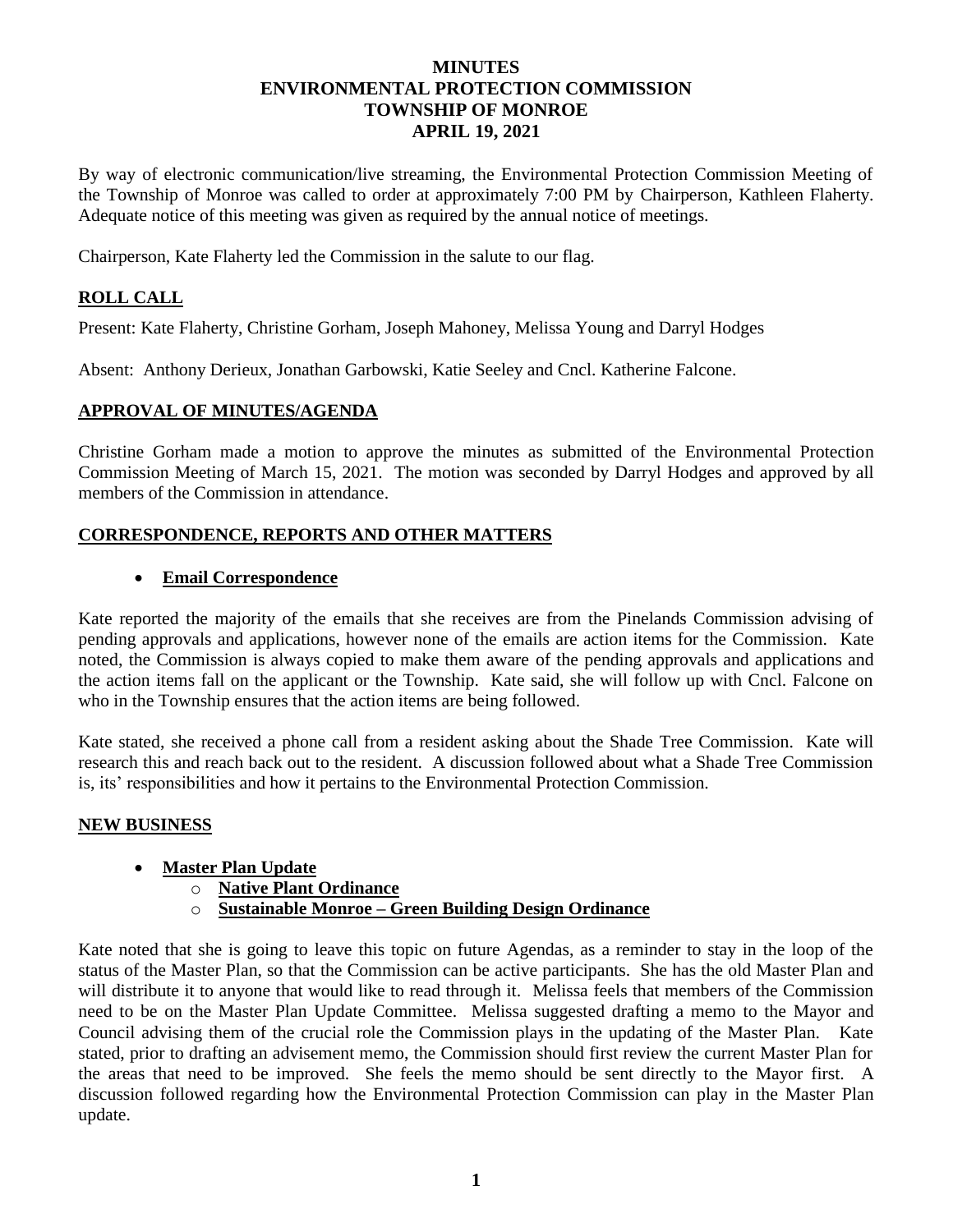## **MINUTES ENVIRONMENTAL PROTECTION COMMISSION TOWNSHIP OF MONROE APRIL 19, 2021**

By way of electronic communication/live streaming, the Environmental Protection Commission Meeting of the Township of Monroe was called to order at approximately 7:00 PM by Chairperson, Kathleen Flaherty. Adequate notice of this meeting was given as required by the annual notice of meetings.

Chairperson, Kate Flaherty led the Commission in the salute to our flag.

# **ROLL CALL**

Present: Kate Flaherty, Christine Gorham, Joseph Mahoney, Melissa Young and Darryl Hodges

Absent: Anthony Derieux, Jonathan Garbowski, Katie Seeley and Cncl. Katherine Falcone.

### **APPROVAL OF MINUTES/AGENDA**

Christine Gorham made a motion to approve the minutes as submitted of the Environmental Protection Commission Meeting of March 15, 2021. The motion was seconded by Darryl Hodges and approved by all members of the Commission in attendance.

### **CORRESPONDENCE, REPORTS AND OTHER MATTERS**

#### • **Email Correspondence**

Kate reported the majority of the emails that she receives are from the Pinelands Commission advising of pending approvals and applications, however none of the emails are action items for the Commission. Kate noted, the Commission is always copied to make them aware of the pending approvals and applications and the action items fall on the applicant or the Township. Kate said, she will follow up with Cncl. Falcone on who in the Township ensures that the action items are being followed.

Kate stated, she received a phone call from a resident asking about the Shade Tree Commission. Kate will research this and reach back out to the resident. A discussion followed about what a Shade Tree Commission is, its' responsibilities and how it pertains to the Environmental Protection Commission.

### **NEW BUSINESS**

### • **Master Plan Update**

- o **Native Plant Ordinance**
- o **Sustainable Monroe – Green Building Design Ordinance**

Kate noted that she is going to leave this topic on future Agendas, as a reminder to stay in the loop of the status of the Master Plan, so that the Commission can be active participants. She has the old Master Plan and will distribute it to anyone that would like to read through it. Melissa feels that members of the Commission need to be on the Master Plan Update Committee. Melissa suggested drafting a memo to the Mayor and Council advising them of the crucial role the Commission plays in the updating of the Master Plan. Kate stated, prior to drafting an advisement memo, the Commission should first review the current Master Plan for the areas that need to be improved. She feels the memo should be sent directly to the Mayor first. A discussion followed regarding how the Environmental Protection Commission can play in the Master Plan update.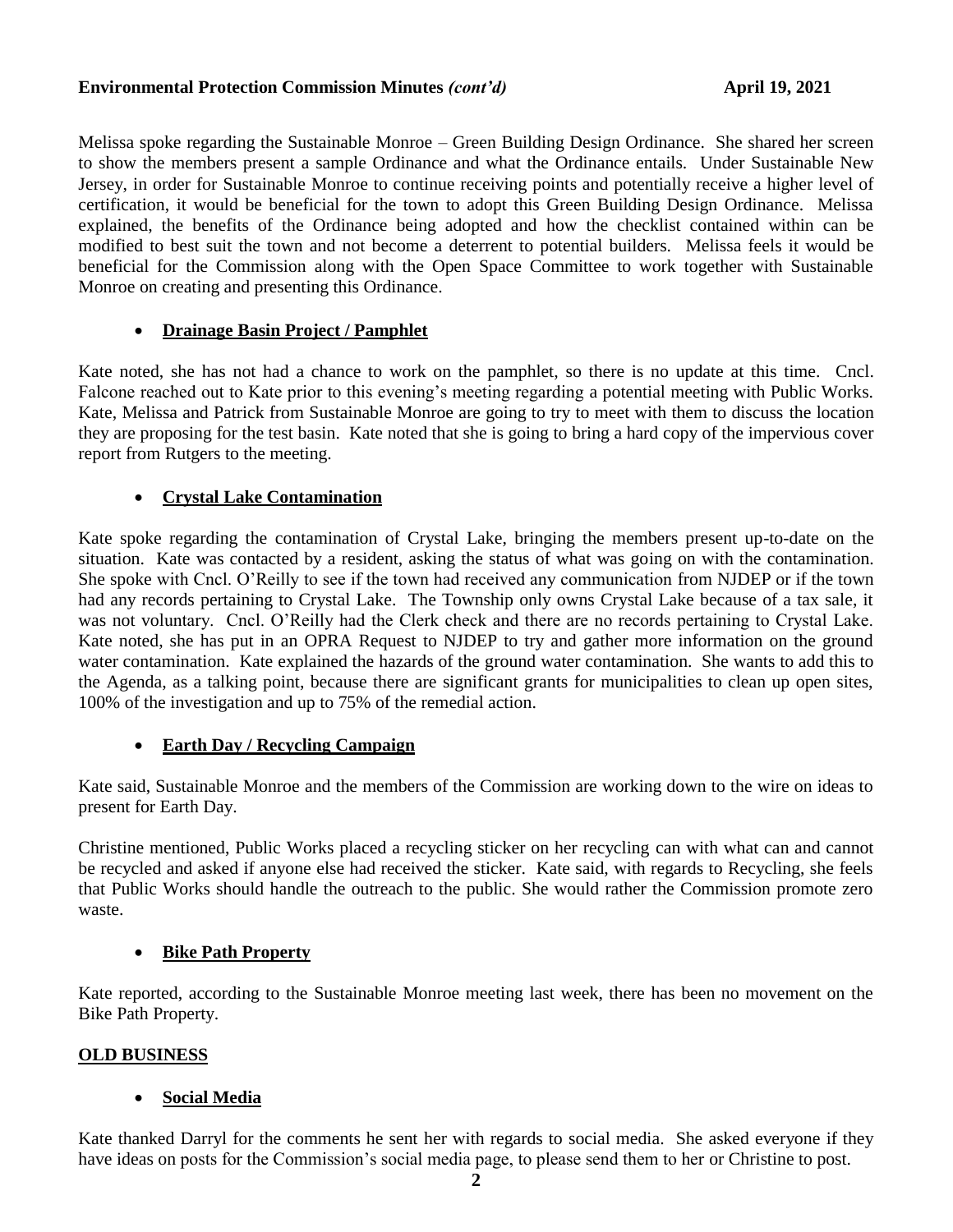### Environmental Protection Commission Minutes *(cont'd)* April 19, 2021

Melissa spoke regarding the Sustainable Monroe – Green Building Design Ordinance. She shared her screen to show the members present a sample Ordinance and what the Ordinance entails. Under Sustainable New Jersey, in order for Sustainable Monroe to continue receiving points and potentially receive a higher level of certification, it would be beneficial for the town to adopt this Green Building Design Ordinance. Melissa explained, the benefits of the Ordinance being adopted and how the checklist contained within can be modified to best suit the town and not become a deterrent to potential builders. Melissa feels it would be beneficial for the Commission along with the Open Space Committee to work together with Sustainable Monroe on creating and presenting this Ordinance.

# • **Drainage Basin Project / Pamphlet**

Kate noted, she has not had a chance to work on the pamphlet, so there is no update at this time. Cncl. Falcone reached out to Kate prior to this evening's meeting regarding a potential meeting with Public Works. Kate, Melissa and Patrick from Sustainable Monroe are going to try to meet with them to discuss the location they are proposing for the test basin. Kate noted that she is going to bring a hard copy of the impervious cover report from Rutgers to the meeting.

# • **Crystal Lake Contamination**

Kate spoke regarding the contamination of Crystal Lake, bringing the members present up-to-date on the situation. Kate was contacted by a resident, asking the status of what was going on with the contamination. She spoke with Cncl. O'Reilly to see if the town had received any communication from NJDEP or if the town had any records pertaining to Crystal Lake. The Township only owns Crystal Lake because of a tax sale, it was not voluntary. Cncl. O'Reilly had the Clerk check and there are no records pertaining to Crystal Lake. Kate noted, she has put in an OPRA Request to NJDEP to try and gather more information on the ground water contamination. Kate explained the hazards of the ground water contamination. She wants to add this to the Agenda, as a talking point, because there are significant grants for municipalities to clean up open sites, 100% of the investigation and up to 75% of the remedial action.

### • **Earth Day / Recycling Campaign**

Kate said, Sustainable Monroe and the members of the Commission are working down to the wire on ideas to present for Earth Day.

Christine mentioned, Public Works placed a recycling sticker on her recycling can with what can and cannot be recycled and asked if anyone else had received the sticker. Kate said, with regards to Recycling, she feels that Public Works should handle the outreach to the public. She would rather the Commission promote zero waste.

### • **Bike Path Property**

Kate reported, according to the Sustainable Monroe meeting last week, there has been no movement on the Bike Path Property.

### **OLD BUSINESS**

### • **Social Media**

Kate thanked Darryl for the comments he sent her with regards to social media. She asked everyone if they have ideas on posts for the Commission's social media page, to please send them to her or Christine to post.